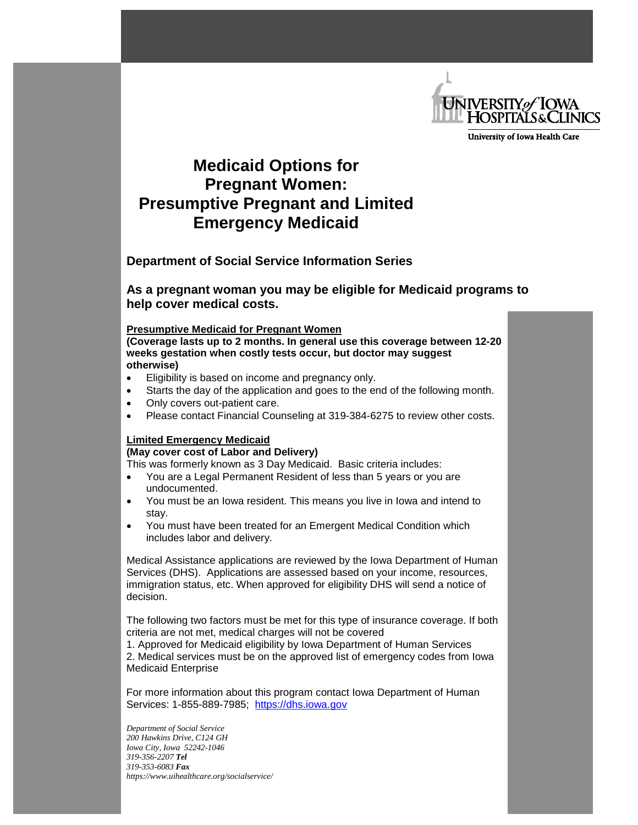

University of Iowa Health Care

## **Medicaid Options for Pregnant Women: Presumptive Pregnant and Limited Emergency Medicaid**

**Department of Social Service Information Series**

**As a pregnant woman you may be eligible for Medicaid programs to help cover medical costs.**

## **Presumptive Medicaid for Pregnant Women**

**(Coverage lasts up to 2 months. In general use this coverage between 12-20 weeks gestation when costly tests occur, but doctor may suggest otherwise)**

- Eligibility is based on income and pregnancy only.
- Starts the day of the application and goes to the end of the following month.
- Only covers out-patient care.
- Please contact Financial Counseling at 319-384-6275 to review other costs.

## **Limited Emergency Medicaid**

## **(May cover cost of Labor and Delivery)**

This was formerly known as 3 Day Medicaid. Basic criteria includes:

- You are a Legal Permanent Resident of less than 5 years or you are undocumented.
- You must be an Iowa resident. This means you live in Iowa and intend to stay.
- You must have been treated for an Emergent Medical Condition which includes labor and delivery.

Medical Assistance applications are reviewed by the Iowa Department of Human Services (DHS). Applications are assessed based on your income, resources, immigration status, etc. When approved for eligibility DHS will send a notice of decision.

The following two factors must be met for this type of insurance coverage. If both criteria are not met, medical charges will not be covered

1. Approved for Medicaid eligibility by Iowa Department of Human Services 2. Medical services must be on the approved list of emergency codes from Iowa Medicaid Enterprise

For more information about this program contact Iowa Department of Human Services: 1-855-889-7985; [https://dhs.iowa.gov](https://dhs.iowa.gov/)

*Department of Social Service 200 Hawkins Drive, C124 GH Iowa City, Iowa 52242-1046 319-356-2207 Tel 319-353-6083 Fax https://www.uihealthcare.org/socialservice/*